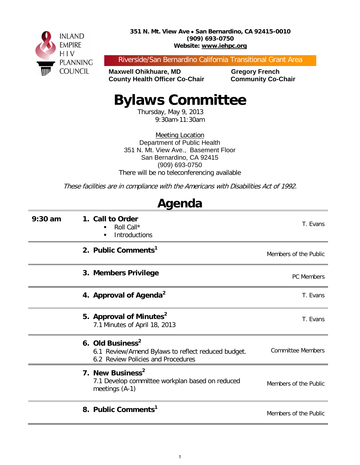

Riverside/San Bernardino California Transitional Grant Area

**Maxwell Ohikhuare, MD Gregory French County Health Officer Co-Chair Community Co-Chair** 

# **Bylaws Committee**

Thursday, May 9, 2013 9:30am-11:30am

Meeting Location Department of Public Health 351 N. Mt. View Ave., Basement Floor San Bernardino, CA 92415 (909) 693-0750 There will be no teleconferencing available

These facilities are in compliance with the Americans with Disabilities Act of 1992.

| Agenda    |                                                                                                                          |                          |  |  |
|-----------|--------------------------------------------------------------------------------------------------------------------------|--------------------------|--|--|
| $9:30$ am | 1. Call to Order<br>Roll Call*<br><b>Introductions</b><br>٠                                                              | T. Evans                 |  |  |
|           | 2. Public Comments <sup>1</sup>                                                                                          | Members of the Public    |  |  |
|           | 3. Members Privilege                                                                                                     | <b>PC</b> Members        |  |  |
|           | 4. Approval of Agenda <sup>2</sup>                                                                                       | T. Evans                 |  |  |
|           | 5. Approval of Minutes <sup>2</sup><br>7.1 Minutes of April 18, 2013                                                     | T. Evans                 |  |  |
|           | 6. Old Business <sup>2</sup><br>6.1 Review/Amend Bylaws to reflect reduced budget.<br>6.2 Review Policies and Procedures | <b>Committee Members</b> |  |  |
|           | 7. New Business <sup>2</sup><br>7.1 Develop committee workplan based on reduced<br>meetings (A-1)                        | Members of the Public    |  |  |
|           | 8. Public Comments <sup>1</sup>                                                                                          | Members of the Public    |  |  |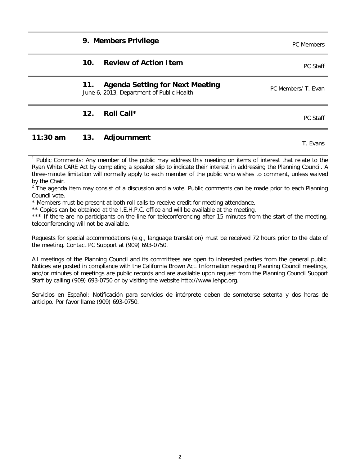2

#### **9. Members Privilege Privilege PC Members PC Members**

#### **10. Review of Action Item** PC Staff PC Staff

#### **11. Agenda Setting for Next Meeting** TT. Agenda Setting for Next Meeting<br>June 6, 2013, Department of Public Health

#### **12. Roll Call \*** PC Staff

### **11:30 am 13. Adjournment** T. Evans

Public Comments: Any member of the public may address this meeting on items of interest that relate to the Ryan White CARE Act by completing a speaker slip to indicate their interest in addressing the Planning Council. A three-minute limitation will normally apply to each member of the public who wishes to comment, unless waived by the Chair.

 $<sup>2</sup>$  The agenda item may consist of a discussion and a vote. Public comments can be made prior to each Planning</sup> Council vote.

\* Members must be present at both roll calls to receive credit for meeting attendance.

\*\* Copies can be obtained at the I.E.H.P.C. office and will be available at the meeting.

\*\*\* If there are no participants on the line for teleconferencing after 15 minutes from the start of the meeting, teleconferencing will not be available.

Requests for special accommodations (e.g., language translation) must be received 72 hours prior to the date of the meeting. Contact PC Support at (909) 693-0750.

All meetings of the Planning Council and its committees are open to interested parties from the general public. Notices are posted in compliance with the California Brown Act. Information regarding Planning Council meetings, and/or minutes of meetings are public records and are available upon request from the Planning Council Support Staff by calling (909) 693-0750 or by visiting the website http://www.iehpc.org.

Servicios en Español: Notificación para servicios de intérprete deben de someterse setenta y dos horas de anticipo. Por favor llame (909) 693-0750.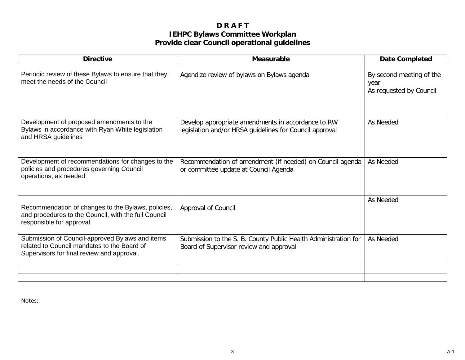#### **D R A F T IEHPC Bylaws Committee Workplan Provide clear Council operational guidelines**

| <b>Directive</b>                                                                                                                             | <b>Measurable</b>                                                                                             | <b>Date Completed</b>                                       |
|----------------------------------------------------------------------------------------------------------------------------------------------|---------------------------------------------------------------------------------------------------------------|-------------------------------------------------------------|
| Periodic review of these Bylaws to ensure that they<br>meet the needs of the Council                                                         | Agendize review of bylaws on Bylaws agenda                                                                    | By second meeting of the<br>year<br>As requested by Council |
| Development of proposed amendments to the<br>Bylaws in accordance with Ryan White legislation<br>and HRSA guidelines                         | Develop appropriate amendments in accordance to RW<br>legislation and/or HRSA guidelines for Council approval | As Needed                                                   |
| Development of recommendations for changes to the<br>policies and procedures governing Council<br>operations, as needed                      | Recommendation of amendment (if needed) on Council agenda<br>or committee update at Council Agenda            | As Needed                                                   |
| Recommendation of changes to the Bylaws, policies,<br>and procedures to the Council, with the full Council<br>responsible for approval       | Approval of Council                                                                                           | As Needed                                                   |
| Submission of Council-approved Bylaws and items<br>related to Council mandates to the Board of<br>Supervisors for final review and approval. | Submission to the S. B. County Public Health Administration for<br>Board of Supervisor review and approval    | As Needed                                                   |
|                                                                                                                                              |                                                                                                               |                                                             |

Notes: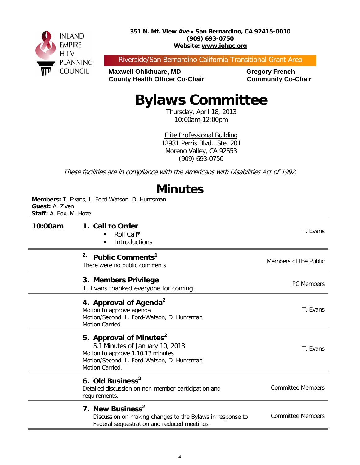

Riverside/San Bernardino California Transitional Grant Area

**Maxwell Ohikhuare, MD Gregory French County Health Officer Co-Chair Community Co-Chair** 

# **Bylaws Committee**

Thursday, April 18, 2013 10:00am-12:00pm

Elite Professional Building 12981 Perris Blvd., Ste. 201 Moreno Valley, CA 92553 (909) 693-0750

These facilities are in compliance with the Americans with Disabilities Act of 1992.

## **Minutes**

**Members:** T. Evans, L. Ford-Watson, D. Huntsman **Guest:** A. Ziven **Staff:** A. Fox, M. Hoze

| 10:00am | 1. Call to Order<br>Roll Call*<br><b>Introductions</b><br>$\blacksquare$                                                                                                     | T. Evans                 |
|---------|------------------------------------------------------------------------------------------------------------------------------------------------------------------------------|--------------------------|
|         | 2.<br>Public Comments <sup>1</sup><br>There were no public comments                                                                                                          | Members of the Public    |
|         | 3. Members Privilege<br>T. Evans thanked everyone for coming.                                                                                                                | <b>PC Members</b>        |
|         | 4. Approval of Agenda <sup>2</sup><br>Motion to approve agenda<br>Motion/Second: L. Ford-Watson, D. Huntsman<br><b>Motion Carried</b>                                        | T. Evans                 |
|         | 5. Approval of Minutes <sup>2</sup><br>5.1 Minutes of January 10, 2013<br>Motion to approve 1.10.13 minutes<br>Motion/Second: L. Ford-Watson, D. Huntsman<br>Motion Carried. | T. Evans                 |
|         | 6. Old Business <sup>2</sup><br>Detailed discussion on non-member participation and<br>requirements.                                                                         | <b>Committee Members</b> |
|         | 7. New Business <sup>2</sup><br>Discussion on making changes to the Bylaws in response to<br>Federal sequestration and reduced meetings.                                     | <b>Committee Members</b> |